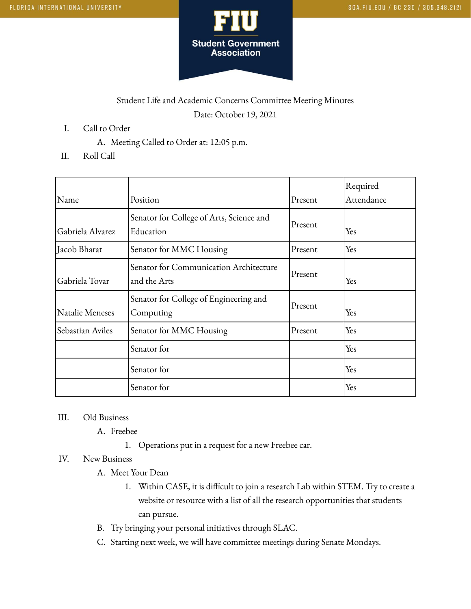

## Student Life and Academic Concerns Committee Meeting Minutes Date: October 19, 2021

- I. Call to Order
	- A. Meeting Called to Order at: 12:05 p.m.
- II. Roll Call

| Name             | Position                                               | Present | Required<br>Attendance |
|------------------|--------------------------------------------------------|---------|------------------------|
| Gabriela Alvarez | Senator for College of Arts, Science and<br>Education  | Present | Yes                    |
| Jacob Bharat     | Senator for MMC Housing                                | Present | Yes                    |
| Gabriela Tovar   | Senator for Communication Architecture<br>and the Arts | Present | Yes                    |
| Natalie Meneses  | Senator for College of Engineering and<br>Computing    | Present | Yes                    |
| Sebastian Aviles | Senator for MMC Housing                                | Present | Yes                    |
|                  | Senator for                                            |         | Yes                    |
|                  | Senator for                                            |         | Yes                    |
|                  | Senator for                                            |         | Yes                    |

## III. Old Business

- A. Freebee
	- 1. Operations put in a request for a new Freebee car.

## IV. New Business

- A. Meet Your Dean
	- 1. Within CASE, it is difficult to join a research Lab within STEM. Try to create a website or resource with a list of all the research opportunities that students can pursue.
- B. Try bringing your personal initiatives through SLAC.
- C. Starting next week, we will have committee meetings during Senate Mondays.